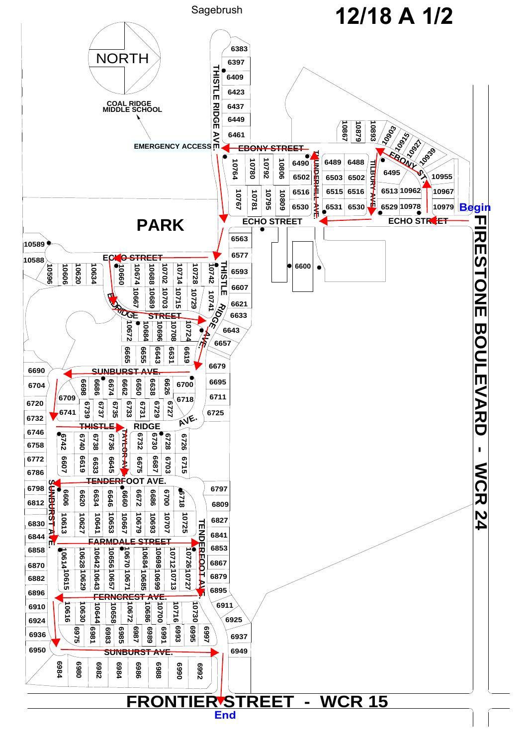